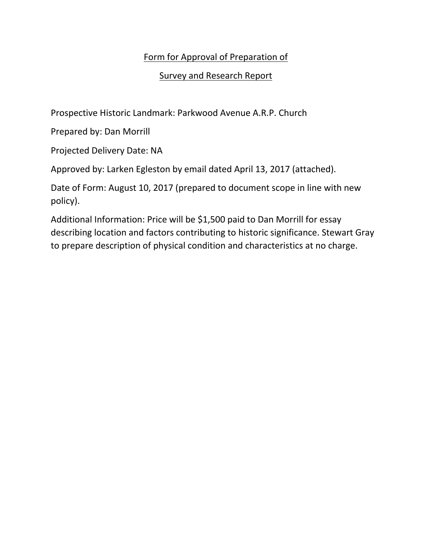## Form for Approval of Preparation of

## Survey and Research Report

Prospective Historic Landmark: Parkwood Avenue A.R.P. Church

Prepared by: Dan Morrill

Projected Delivery Date: NA

Approved by: Larken Egleston by email dated April 13, 2017 (attached).

Date of Form: August 10, 2017 (prepared to document scope in line with new policy).

Additional Information: Price will be \$1,500 paid to Dan Morrill for essay describing location and factors contributing to historic significance. Stewart Gray to prepare description of physical condition and characteristics at no charge.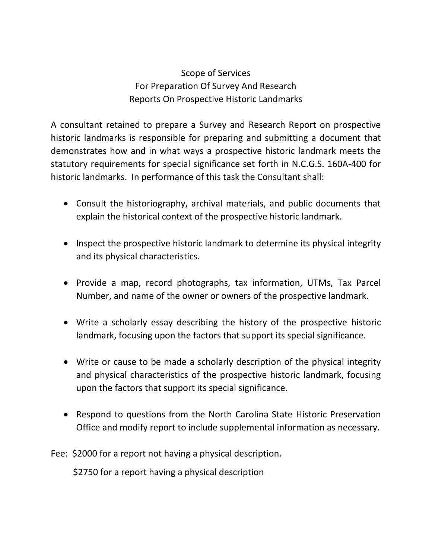## Scope of Services For Preparation Of Survey And Research Reports On Prospective Historic Landmarks

A consultant retained to prepare a Survey and Research Report on prospective historic landmarks is responsible for preparing and submitting a document that demonstrates how and in what ways a prospective historic landmark meets the statutory requirements for special significance set forth in N.C.G.S. 160A-400 for historic landmarks. In performance of this task the Consultant shall:

- Consult the historiography, archival materials, and public documents that explain the historical context of the prospective historic landmark.
- Inspect the prospective historic landmark to determine its physical integrity and its physical characteristics.
- Provide a map, record photographs, tax information, UTMs, Tax Parcel Number, and name of the owner or owners of the prospective landmark.
- Write a scholarly essay describing the history of the prospective historic landmark, focusing upon the factors that support its special significance.
- Write or cause to be made a scholarly description of the physical integrity and physical characteristics of the prospective historic landmark, focusing upon the factors that support its special significance.
- Respond to questions from the North Carolina State Historic Preservation Office and modify report to include supplemental information as necessary.

Fee: \$2000 for a report not having a physical description.

\$2750 for a report having a physical description